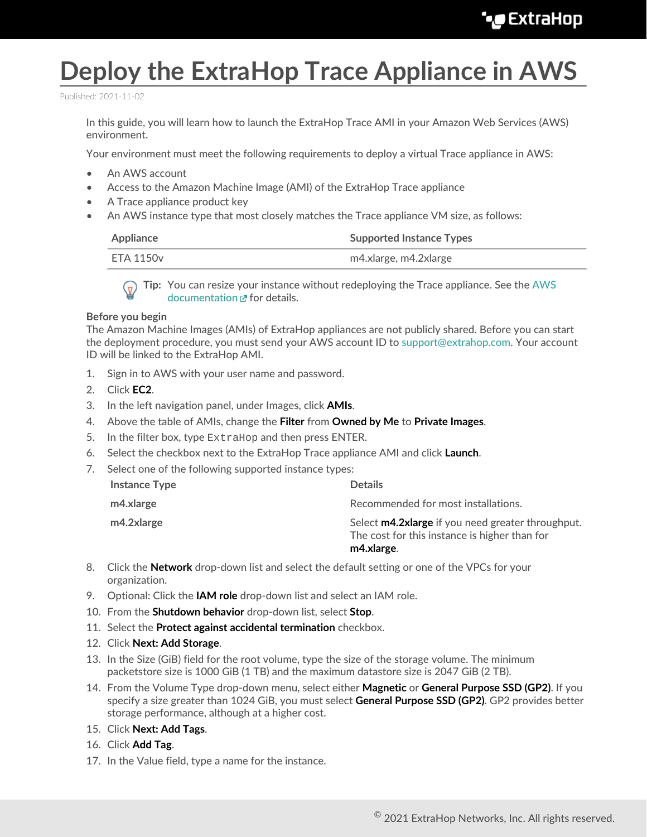## **Deploy the ExtraHop Trace Appliance in AWS**

Published: 2021-11-02

In this guide, you will learn how to launch the ExtraHop Trace AMI in your Amazon Web Services (AWS) environment.

Your environment must meet the following requirements to deploy a virtual Trace appliance in AWS:

- An AWS account
- Access to the Amazon Machine Image (AMI) of the ExtraHop Trace appliance
- A Trace appliance product key
- An AWS instance type that most closely matches the Trace appliance VM size, as follows:

| Appliance | <b>Supported Instance Types</b> |
|-----------|---------------------------------|
| ETA 1150v | m4.xlarge, m4.2xlarge           |

**Tip:** You can resize your instance without redeploying the Trace appliance. See the [AWS](https://docs.aws.amazon.com/AWSEC2/latest/UserGuide/ec2-instance-resize.html) [documentation](https://docs.aws.amazon.com/AWSEC2/latest/UserGuide/ec2-instance-resize.html)  $\mathbf{r}$  for details.

## **Before you begin**

The Amazon Machine Images (AMIs) of ExtraHop appliances are not publicly shared. Before you can start the deployment procedure, you must send your AWS account ID to [support@extrahop.com](mailto:support@extrahop.com). Your account ID will be linked to the ExtraHop AMI.

- 1. Sign in to AWS with your user name and password.
- 2. Click **EC2**.
- 3. In the left navigation panel, under Images, click **AMIs**.
- 4. Above the table of AMIs, change the **Filter** from **Owned by Me** to **Private Images**.
- 5. In the filter box, type ExtraHop and then press ENTER.
- 6. Select the checkbox next to the ExtraHop Trace appliance AMI and click **Launch**.
- 7. Select one of the following supported instance types:

| m4.2xlarge           | Select <b>m4.2xlarge</b> if you need greater throughput.<br>The cost for this instance is higher than for<br>m4.xlarge. |
|----------------------|-------------------------------------------------------------------------------------------------------------------------|
| m4.xlarge            | Recommended for most installations.                                                                                     |
| <b>Instance Type</b> | <b>Details</b>                                                                                                          |

- 8. Click the **Network** drop-down list and select the default setting or one of the VPCs for your organization.
- 9. Optional: Click the **IAM role** drop-down list and select an IAM role.
- 10. From the **Shutdown behavior** drop-down list, select **Stop**.
- 11. Select the **Protect against accidental termination** checkbox.
- 12. Click **Next: Add Storage**.
- 13. In the Size (GiB) field for the root volume, type the size of the storage volume. The minimum packetstore size is 1000 GiB (1 TB) and the maximum datastore size is 2047 GiB (2 TB).
- 14. From the Volume Type drop-down menu, select either **Magnetic** or **General Purpose SSD (GP2)**. If you specify a size greater than 1024 GiB, you must select **General Purpose SSD (GP2)**. GP2 provides better storage performance, although at a higher cost.
- 15. Click **Next: Add Tags**.
- 16. Click **Add Tag**.
- 17. In the Value field, type a name for the instance.